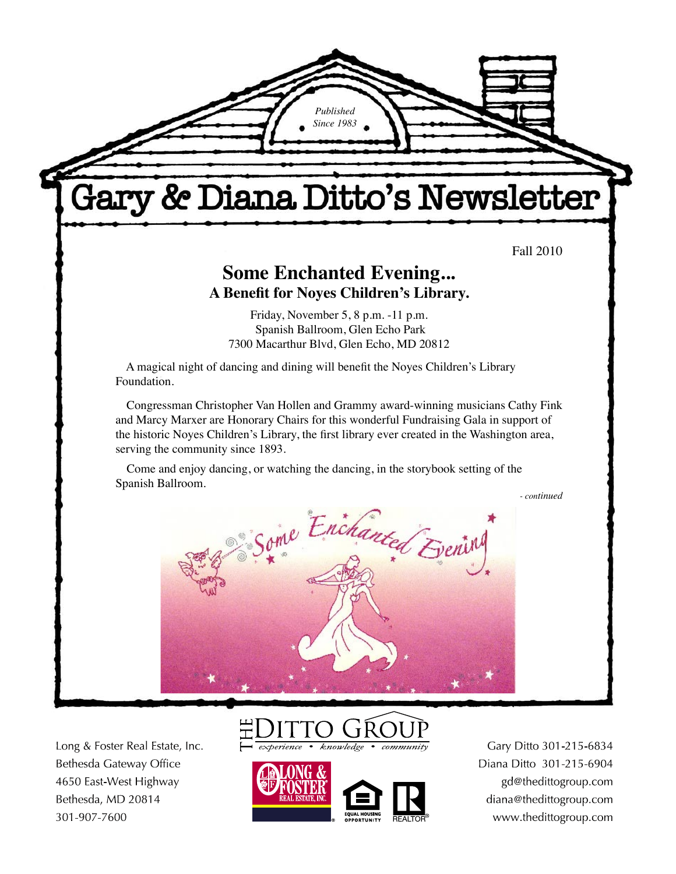

Long & Foster Real Estate, Inc. Bethesda Gateway Office 4650 East-West Highway Bethesda, MD 20814 301-907-7600





Gary Ditto 301-215-6834 Diana Ditto 301-215-6904 gd@thedittogroup.com diana@thedittogroup.com www.thedittogroup.com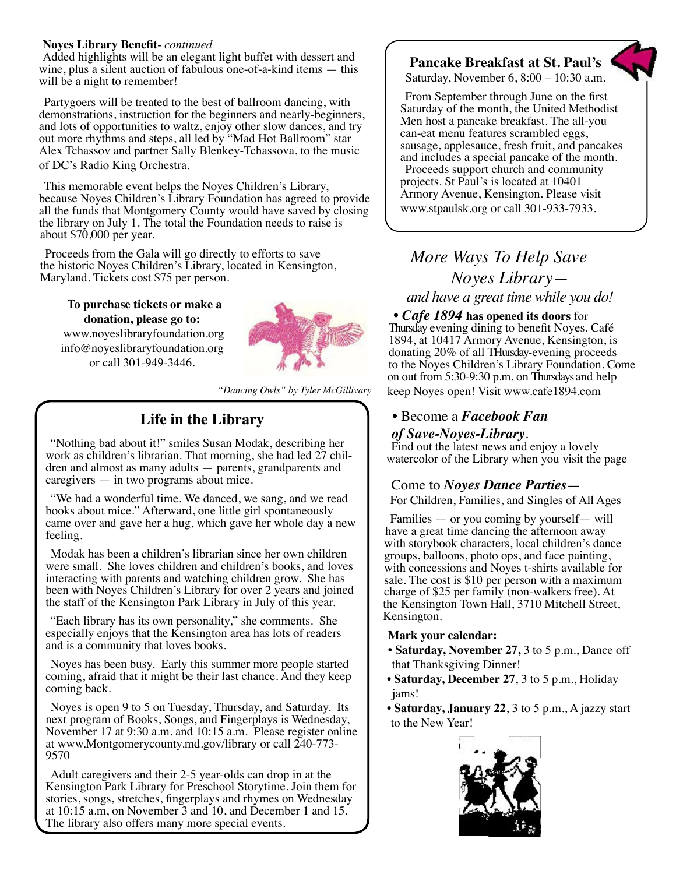#### **Noyes Library Benefit-** *continued*

Added highlights will be an elegant light buffet with dessert and wine, plus a silent auction of fabulous one-of-a-kind items — this will be a night to remember!

Partygoers will be treated to the best of ballroom dancing, with demonstrations, instruction for the beginners and nearly-beginners, and lots of opportunities to waltz, enjoy other slow dances, and try out more rhythms and steps, all led by "Mad Hot Ballroom" star Alex Tchassov and partner Sally Blenkey-Tchassova, to the music of DC's Radio King Orchestra.

This memorable event helps the Noyes Children's Library, because Noyes Children's Library Foundation has agreed to provide all the funds that Montgomery County would have saved by closing the library on July 1. The total the Foundation needs to raise is about \$70,000 per year.

Proceeds from the Gala will go directly to efforts to save the historic Noyes Children's Library, located in Kensington, Maryland. Tickets cost \$75 per person.

**To purchase tickets or make a donation, please go to:** www.noyeslibraryfoundation.org info@noyeslibraryfoundation.org or call 301-949-3446.



*"Dancing Owls" by Tyler McGillivary* 

# **Life in the Library**

"Nothing bad about it!" smiles Susan Modak, describing her work as children's librarian. That morning, she had led 27 children and almost as many adults — parents, grandparents and caregivers — in two programs about mice.

"We had a wonderful time. We danced, we sang, and we read books about mice." Afterward, one little girl spontaneously came over and gave her a hug, which gave her whole day a new feeling.

Modak has been a children's librarian since her own children were small. She loves children and children's books, and loves interacting with parents and watching children grow. She has been with Noyes Children's Library for over 2 years and joined the staff of the Kensington Park Library in July of this year.

"Each library has its own personality," she comments. She especially enjoys that the Kensington area has lots of readers and is a community that loves books.

Noyes has been busy. Early this summer more people started coming, afraid that it might be their last chance. And they keep coming back.

Noyes is open 9 to 5 on Tuesday, Thursday, and Saturday. Its next program of Books, Songs, and Fingerplays is Wednesday, November 17 at 9:30 a.m. and 10:15 a.m. Please register online at www.Montgomerycounty.md.gov/library or call 240-773- 9570

Adult caregivers and their 2-5 year-olds can drop in at the Kensington Park Library for Preschool Storytime. Join them for stories, songs, stretches, fingerplays and rhymes on Wednesday at 10:15 a.m, on November 3 and 10, and December 1 and 15. The library also offers many more special events.

# **Pancake Breakfast at St. Paul's**

Saturday, November 6, 8:00 – 10:30 a.m.

From September through June on the first Saturday of the month, the United Methodist Men host a pancake breakfast. The all-you can-eat menu features scrambled eggs, sausage, applesauce, fresh fruit, and pancakes and includes a special pancake of the month. Proceeds support church and community projects. St Paul's is located at 10401 Armory Avenue, Kensington. Please visit www.stpaulsk.org or call 301-933-7933.

# *More Ways To Help Save Noyes Library and have a great time while you do!*

• *Cafe 1894* **has opened its doors** for Thursday evening dining to benefit Noyes. Café 1894, at 10417 Armory Avenue, Kensington, is donating 20% of all THursday-evening proceeds to the Noyes Children's Library Foundation. Come on out from 5:30-9:30 p.m. on Thursdays and help keep Noyes open! Visit www.cafe1894.com

## • Become a *Facebook Fan*

*of Save-Noyes-Library*. Find out the latest news and enjoy a lovely watercolor of the Library when you visit the page

## Come to *Noyes Dance Parties*—

For Children, Families, and Singles of All Ages

Families — or you coming by yourself— will have a great time dancing the afternoon away with storybook characters, local children's dance groups, balloons, photo ops, and face painting, with concessions and Noyes t-shirts available for sale. The cost is \$10 per person with a maximum charge of \$25 per family (non-walkers free). At the Kensington Town Hall, 3710 Mitchell Street, Kensington.

#### **Mark your calendar:**

- • **Saturday, November 27,** 3 to 5 p.m., Dance off that Thanksgiving Dinner!
- **Saturday, December 27**, 3 to 5 p.m., Holiday jams!
- **Saturday, January 22**, 3 to 5 p.m., A jazzy start to the New Year!

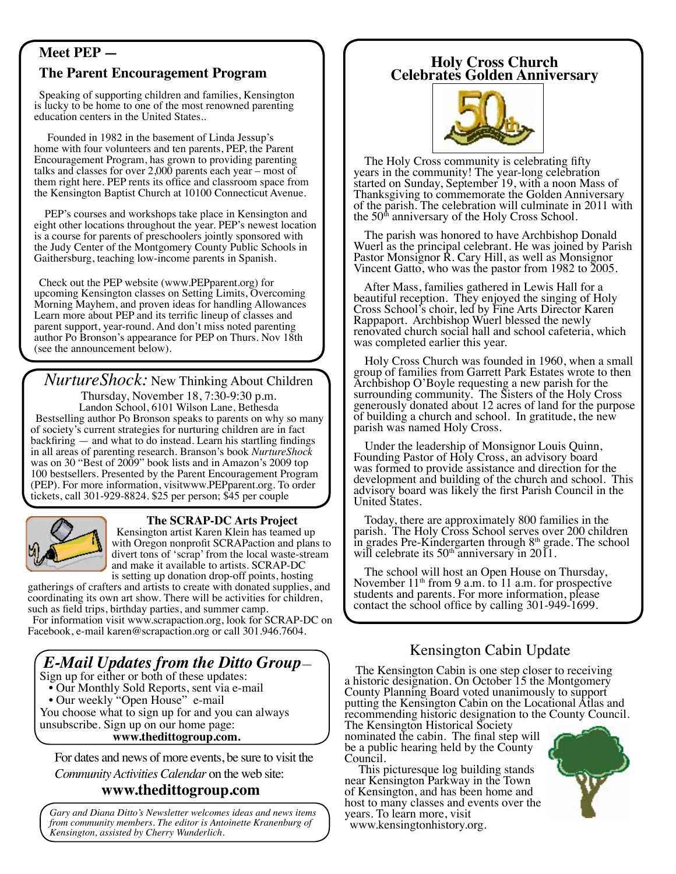# **Meet PEP —**

# **The Parent Encouragement Program**

Speaking of supporting children and families, Kensington is lucky to be home to one of the most renowned parenting education centers in the United States..

 Founded in 1982 in the basement of Linda Jessup's home with four volunteers and ten parents, PEP, the Parent Encouragement Program, has grown to providing parenting talks and classes for over 2,000 parents each year – most of them right here. PEP rents its office and classroom space from the Kensington Baptist Church at 10100 Connecticut Avenue.

 PEP's courses and workshops take place in Kensington and eight other locations throughout the year. PEP's newest location is a course for parents of preschoolers jointly sponsored with the Judy Center of the Montgomery County Public Schools in Gaithersburg, teaching low-income parents in Spanish.

Check out the PEP website (www.PEPparent.org) for upcoming Kensington classes on Setting Limits, Overcoming Morning Mayhem, and proven ideas for handling Allowances Learn more about PEP and its terrific lineup of classes and parent support, year-round. And don't miss noted parenting author Po Bronson's appearance for PEP on Thurs. Nov 18th (see the announcement below).

*NurtureShock:* New Thinking About Children

Thursday, November 18, 7:30-9:30 p.m. Landon School, 6101 Wilson Lane, Bethesda Bestselling author Po Bronson speaks to parents on why so many of society's current strategies for nurturing children are in fact backfiring — and what to do instead. Learn his startling findings in all areas of parenting research. Branson's book *NurtureShock* was on 30 "Best of 2009" book lists and in Amazon's 2009 top 100 bestsellers. Presented by the Parent Encouragement Program (PEP). For more information, visitwww.PEPparent.org. To order tickets, call 301-929-8824. \$25 per person; \$45 per couple



## **The SCRAP-DC Arts Project**

Kensington artist Karen Klein has teamed up with Oregon nonprofit SCRAPaction and plans to divert tons of 'scrap' from the local waste-stream and make it available to artists. SCRAP-DC is setting up donation drop-off points, hosting

gatherings of crafters and artists to create with donated supplies, and coordinating its own art show. There will be activities for children, such as field trips, birthday parties, and summer camp.

For information visit www.scrapaction.org, look for SCRAP-DC on Facebook, e-mail karen@scrapaction.org or call 301.946.7604.

# *E-Mail Updates from the Ditto Group—* Sign up for either or both of these updates:

- Our Monthly Sold Reports, sent via e-mail
- Our weekly "Open House" e-mail

You choose what to sign up for and you can always unsubscribe. Sign up on our home page: **www.thedittogroup.com.**

For dates and news of more events, be sure to visit the

*Community Activities Calendar* on the web site:

# **www.thedittogroup.com**

*Gary and Diana Ditto's Newsletter welcomes ideas and news items from community members. The editor is Antoinette Kranenburg of Kensington, assisted by Cherry Wunderlich.* 

# **Holy Cross Church Celebrates Golden Anniversary**



 The Holy Cross community is celebrating fifty years in the community! The year-long celebration started on Sunday, September 19, with a noon Mass of Thanksgiving to commemorate the Golden Anniversary of the parish. The celebration will culminate in 2011 with the  $50<sup>th</sup>$  anniversary of the Holy Cross School.

 The parish was honored to have Archbishop Donald Wuerl as the principal celebrant. He was joined by Parish Pastor Monsignor R. Cary Hill, as well as Monsignor Vincent Gatto, who was the pastor from 1982 to 2005.

 After Mass, families gathered in Lewis Hall for a beautiful reception. They enjoyed the singing of Holy Cross School's choir, led by Fine Arts Director Karen Rappaport. Archbishop Wuerl blessed the newly renovated church social hall and school cafeteria, which was completed earlier this year.

 Holy Cross Church was founded in 1960, when a small group of families from Garrett Park Estates wrote to then Archbishop O'Boyle requesting a new parish for the surrounding community. The Sisters of the Holy Cross generously donated about 12 acres of land for the purpose of building a church and school. In gratitude, the new parish was named Holy Cross.

 Under the leadership of Monsignor Louis Quinn, Founding Pastor of Holy Cross, an advisory board was formed to provide assistance and direction for the development and building of the church and school. This advisory board was likely the first Parish Council in the United States.

 Today, there are approximately 800 families in the parish. The Holy Cross School serves over 200 children in grades Pre-Kindergarten through  $8<sup>th</sup>$  grade. The school will celebrate its  $50<sup>th</sup>$  anniversary in 2011.

The school will host an Open House on Thursday,<br>November  $11<sup>th</sup>$  from 9 a.m. to 11 a.m. for prospective students and parents. For more information, please contact the school office by calling 301-949-1699.

# Kensington Cabin Update

 The Kensington Cabin is one step closer to receiving a historic designation. On October 15 the Montgomery County Planning Board voted unanimously to support putting the Kensington Cabin on the Locational Atlas and recommending historic designation to the County Council.

The Kensington Historical Society nominated the cabin. The final step will be a public hearing held by the County Council.

 This picturesque log building stands near Kensington Parkway in the Town of Kensington, and has been home and host to many classes and events over the years. To learn more, visit

www.kensingtonhistory.org.